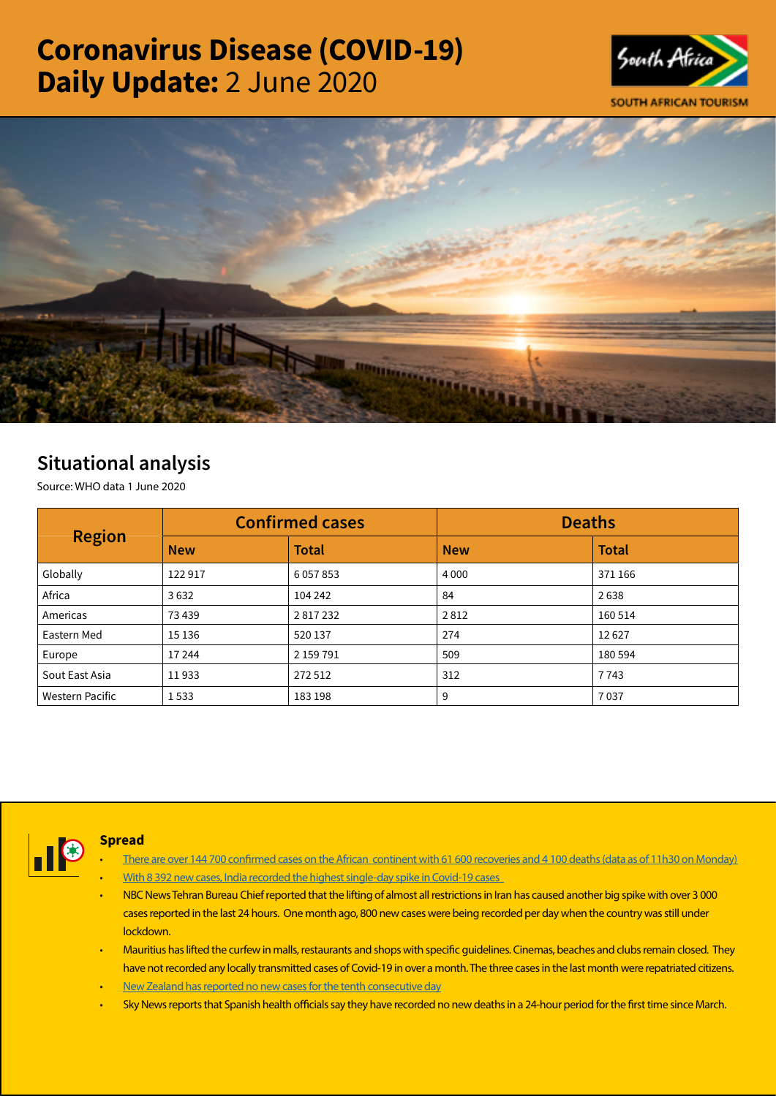# Coronavirus Disease (COVID-19) Daily Update: 2 June 2020





## Situational analysis

Source: WHO data 1 June 2020

| <b>Region</b>   | <b>Confirmed cases</b> |               | <b>Deaths</b> |              |
|-----------------|------------------------|---------------|---------------|--------------|
|                 | <b>New</b>             | <b>Total</b>  | <b>New</b>    | <b>Total</b> |
| Globally        | 122917                 | 6 0 5 7 8 5 3 | 4 0 0 0       | 371 166      |
| Africa          | 3632                   | 104 242       | 84            | 2638         |
| Americas        | 73 439                 | 2817232       | 2812          | 160 514      |
| Eastern Med     | 15 13 6                | 520 137       | 274           | 12627        |
| Europe          | 17 244                 | 2 159 791     | 509           | 180 594      |
| Sout East Asia  | 11933                  | 272 512       | 312           | 7743         |
| Western Pacific | 1533                   | 183 198       | 9             | 7037         |



#### Spread

- There are over 144 700 confirmed cases on the African continent with 61 600 recoveries and 4 100 deaths (data as of 11h30 on Monday)
- With 8 392 new cases, India recorded the highest single-day spike in Covid-19 cases
- NBC News Tehran Bureau Chief reported that the lifting of almost all restrictions in Iran has caused another big spike with over 3 000 cases reported in the last 24 hours. One month ago, 800 new cases were being recorded per day when the country was still under lockdown.
- Mauritius has lifted the curfew in malls, restaurants and shops with specific guidelines. Cinemas, beaches and clubs remain closed. They have not recorded any locally transmitted cases of Covid-19 in over a month. The three cases in the last month were repatriated citizens.
- [New Zealand has reported no new cases for the tenth consecutive day](https://t.co/c3NQfVhLH6?amp=1)
- Sky News reports that Spanish health officials say they have recorded no new deaths in a 24-hour period for the first time since March.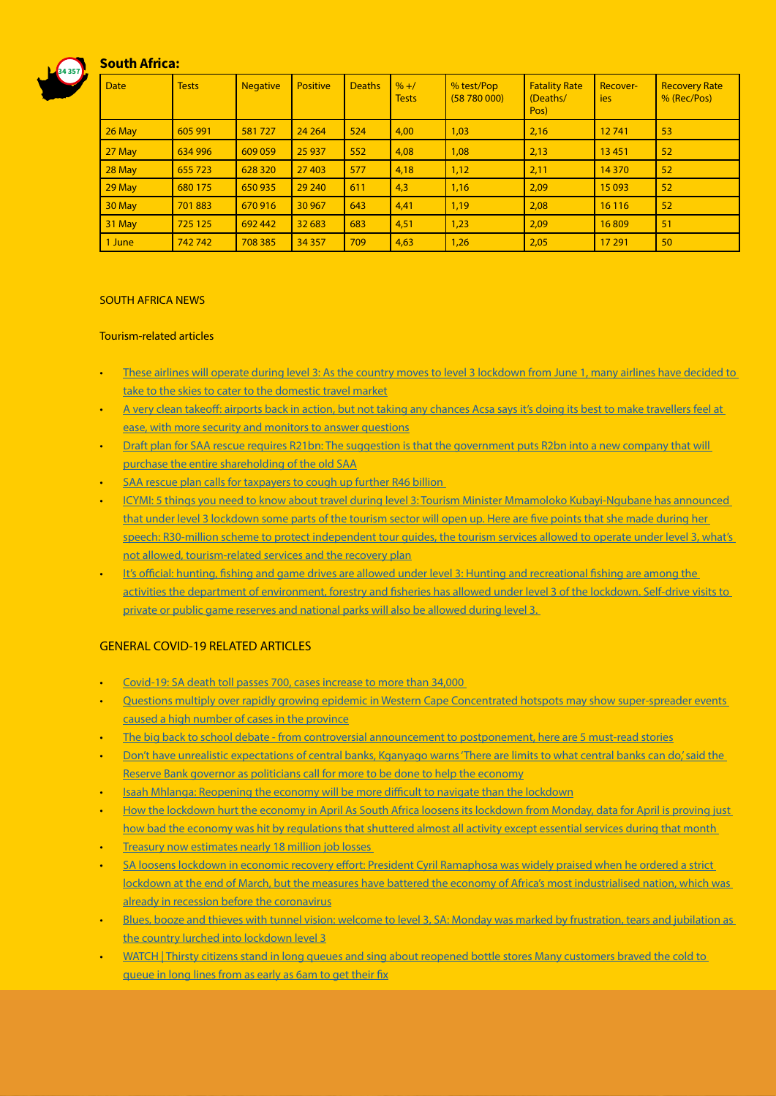### South Africa:

34 357



#### SOUTH AFRICA NEWS

#### Tourism-related articles

- [These airlines will operate during level 3: As the country moves to level 3 lockdown from June 1, many airlines have decided to](https://www.iol.co.za/travel/travel-news/these-airlines-will-operate-during-level-3-48793399)  [take to the skies to cater to the domestic travel market](https://www.iol.co.za/travel/travel-news/these-airlines-will-operate-during-level-3-48793399)
- [A very clean takeoff: airports back in action, but not taking any chances Acsa says it's doing its best to make travellers feel at](https://select.timeslive.co.za/news/2020-06-02-a-very-clean-takeoff-airports-back-in-action-but-not-taking-any-chances/)  [ease, with more security and monitors to answer questions](https://select.timeslive.co.za/news/2020-06-02-a-very-clean-takeoff-airports-back-in-action-but-not-taking-any-chances/)
- [Draft plan for SAA rescue requires R21bn: The suggestion is that the government puts R2bn into a new company that will](https://www.businesslive.co.za/bd/national/2020-06-01-draft-plan-for-saa-rescue-proposes-a-brand-new-state-owned-airline/)  [purchase the entire shareholding of the old SAA](https://www.businesslive.co.za/bd/national/2020-06-01-draft-plan-for-saa-rescue-proposes-a-brand-new-state-owned-airline/)
- [SAA rescue plan calls for taxpayers to cough up further R46 billion](https://www.fin24.com/Companies/Industrial/saa-rescue-plan-calls-for-taxpayers-to-cough-up-further-r46-billion-20200601)
- [ICYMI: 5 things you need to know about travel during level 3: Tourism Minister Mmamoloko Kubayi-Ngubane has announced](https://www.iol.co.za/travel/travel-news/icymi-5-things-you-need-to-know-about-travel-during-level-3-48790698)  [that under level 3 lockdown some parts of the tourism sector will open up. Here are five points that she made during her](https://www.iol.co.za/travel/travel-news/icymi-5-things-you-need-to-know-about-travel-during-level-3-48790698)  [speech: R30-million scheme to protect independent tour guides, the tourism services allowed to operate under level 3, what's](https://www.iol.co.za/travel/travel-news/icymi-5-things-you-need-to-know-about-travel-during-level-3-48790698)  [not allowed, tourism-related services and the recovery plan](https://www.iol.co.za/travel/travel-news/icymi-5-things-you-need-to-know-about-travel-during-level-3-48790698)
- It's official: hunting, fishing and game drives are allowed under level 3: Hunting and recreational fishing are among the [activities the department of environment, forestry and fisheries has allowed under level 3 of the lockdown. Self-drive visits to](https://www.timeslive.co.za/politics/2020-06-01-its-official-hunting-fishing-and-game-drives-are-allowed-under-level-3/)  [private or public game reserves and national parks will also be allowed during level 3.](https://www.timeslive.co.za/politics/2020-06-01-its-official-hunting-fishing-and-game-drives-are-allowed-under-level-3/)

#### **GENERAL COVID-19 RELATED ARTICLES**

- [Covid-19: SA death toll passes 700, cases increase to more than 34,000](https://www.timeslive.co.za/news/south-africa/2020-06-01-covid-19-sa-death-toll-passes-700-cases-increase-to-more-than-34000/)
- [Questions multiply over rapidly growing epidemic in Western Cape Concentrated hotspots may show super-spreader events](https://www.businesslive.co.za/bd/opinion/columnists/2020-06-01-carol-paton-questions-multiply-over-rapidly-growing-epidemic-in-western-cape/)  [caused a high number of cases in the province](https://www.businesslive.co.za/bd/opinion/columnists/2020-06-01-carol-paton-questions-multiply-over-rapidly-growing-epidemic-in-western-cape/)
- [The big back to school debate from controversial announcement to postponement, here are 5 must-read stories](https://www.timeslive.co.za/news/south-africa/2020-06-01-the-big-back-to-school-debate-from-controversial-announcement-to-postponement-here-are-5-must-read-stories/)
- [Don't have unrealistic expectations of central banks, Kganyago warns 'There are limits to what central banks can do,' said the](https://www.businesslive.co.za/bd/national/2020-06-01-dont-have-unrealistic-expectations-of-central-banks-kganyago-warns/)  [Reserve Bank governor as politicians call for more to be done to help the economy](https://www.businesslive.co.za/bd/national/2020-06-01-dont-have-unrealistic-expectations-of-central-banks-kganyago-warns/)
- [Isaah Mhlanga: Reopening the economy will be more difficult to navigate than the lockdown](https://www.fin24.com/Opinion/isaah-mhlanga-reopening-the-economy-will-be-more-difficult-to-navigate-than-the-lockdown-20200602-2)
- [How the lockdown hurt the economy in April As South Africa loosens its lockdown from Monday, data for April is proving just](https://www.iol.co.za/business-report/economy/how-the-lockdown-hurt-the-economy-in-april-48799075)  how bad the economy was hit by regulations that shuttered almost all activity except essential services during that month
- **Treasury now estimates nearly 18 million job losses**
- [SA loosens lockdown in economic recovery effort: President Cyril Ramaphosa was widely praised when he ordered a strict](https://www.iol.co.za/business-report/economy/sa-loosens-lockdown-in-economic-recovery-effort-48800129)  [lockdown at the end of March, but the measures have battered the economy of Africa's most industrialised nation, which was](https://www.iol.co.za/business-report/economy/sa-loosens-lockdown-in-economic-recovery-effort-48800129)  [already in recession before the coronavirus](https://www.iol.co.za/business-report/economy/sa-loosens-lockdown-in-economic-recovery-effort-48800129)
- [Blues, booze and thieves with tunnel vision: welcome to level 3, SA: Monday was marked by frustration, tears and jubilation as](https://select.timeslive.co.za/news/2020-06-02-blues-booze-and-thieves-with-tunnel-vision-welcome-to-level-3-sa/)  [the country lurched into lockdown level 3](https://select.timeslive.co.za/news/2020-06-02-blues-booze-and-thieves-with-tunnel-vision-welcome-to-level-3-sa/)
- [WATCH | Thirsty citizens stand in long queues and sing about reopened bottle stores Many customers braved the cold to](https://www.timeslive.co.za/news/south-africa/2020-06-01-watch-thirsty-citizens-stand-in-long-queues-and-sing-about-reopened-bottle-stores/)  [queue in long lines from as early as 6am to get their fix](https://www.timeslive.co.za/news/south-africa/2020-06-01-watch-thirsty-citizens-stand-in-long-queues-and-sing-about-reopened-bottle-stores/)